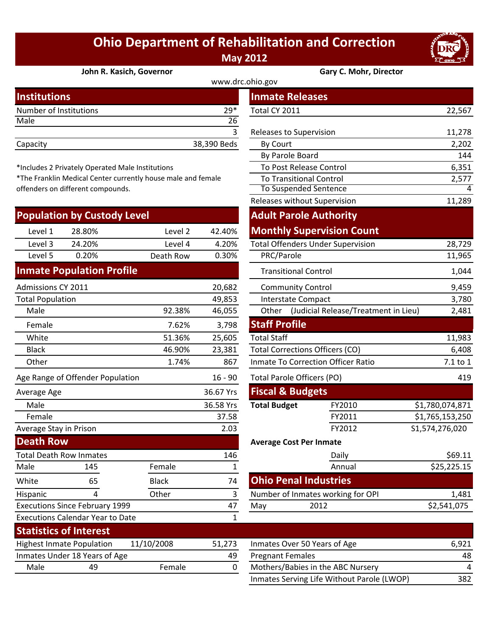## **Ohio Department of Rehabilitation and Correction May 2012**



**John R. Kasich, Governor Gary C. Mohr, Director**

| www.drc.ohio.gov       |             |                         |        |  |
|------------------------|-------------|-------------------------|--------|--|
| <b>Institutions</b>    |             | <b>Inmate Releases</b>  |        |  |
| Number of Institutions | $29*$       | Total CY 2011           | 22,567 |  |
| Male                   | 26          |                         |        |  |
|                        |             | Releases to Supervision | 11,278 |  |
| Capacity               | 38,390 Beds | By Court                | 2,202  |  |
|                        |             | - - ' -                 | .      |  |

\*Includes 2 Privately Operated Male Institutions

\*The Franklin Medical Center currently house male and female offenders on different compounds.

|                         | <b>Population by Custody Level</b>      |              |              |                                                       | <b>Adult Parole Authority</b>            |                 |
|-------------------------|-----------------------------------------|--------------|--------------|-------------------------------------------------------|------------------------------------------|-----------------|
| Level 1                 | 28.80%                                  | Level 2      | 42.40%       |                                                       | <b>Monthly Supervision Count</b>         |                 |
| Level 3                 | 24.20%                                  | Level 4      | 4.20%        |                                                       | <b>Total Offenders Under Supervision</b> | 28,729          |
| Level 5                 | 0.20%                                   | Death Row    | 0.30%        | PRC/Parole                                            |                                          | 11,965          |
|                         | <b>Inmate Population Profile</b>        |              |              | <b>Transitional Control</b>                           |                                          | 1,044           |
| Admissions CY 2011      |                                         |              | 20,682       | <b>Community Control</b>                              |                                          | 9,459           |
| <b>Total Population</b> |                                         |              | 49,853       | <b>Interstate Compact</b>                             |                                          | 3,780           |
| Male                    |                                         | 92.38%       | 46,055       | (Judicial Release/Treatment in Lieu)<br>Other         |                                          | 2,481           |
| Female                  |                                         | 7.62%        | 3,798        | <b>Staff Profile</b>                                  |                                          |                 |
| White                   |                                         | 51.36%       | 25,605       | <b>Total Staff</b>                                    |                                          | 11,983          |
| <b>Black</b>            |                                         | 46.90%       | 23,381       | <b>Total Corrections Officers (CO)</b>                |                                          | 6,408           |
| Other                   |                                         | 1.74%        | 867          | <b>Inmate To Correction Officer Ratio</b><br>7.1 to 1 |                                          |                 |
|                         | Age Range of Offender Population        |              | $16 - 90$    | <b>Total Parole Officers (PO)</b>                     |                                          | 419             |
| Average Age             |                                         |              | 36.67 Yrs    | <b>Fiscal &amp; Budgets</b>                           |                                          |                 |
| Male                    |                                         |              | 36.58 Yrs    | <b>Total Budget</b>                                   | FY2010                                   | \$1,780,074,871 |
| Female                  |                                         |              | 37.58        |                                                       | FY2011                                   | \$1,765,153,250 |
| Average Stay in Prison  |                                         |              | 2.03         |                                                       | FY2012                                   | S1,574,276,020  |
| <b>Death Row</b>        |                                         |              |              | <b>Average Cost Per Inmate</b>                        |                                          |                 |
|                         | <b>Total Death Row Inmates</b>          |              | 146          |                                                       | Daily                                    | \$69.11         |
| Male                    | 145                                     | Female       | $\mathbf{1}$ |                                                       | Annual                                   | \$25,225.15     |
| White                   | 65                                      | <b>Black</b> | 74           | <b>Ohio Penal Industries</b>                          |                                          |                 |
| Hispanic                | 4                                       | Other        | 3            |                                                       | Number of Inmates working for OPI        | 1,481           |
|                         | <b>Executions Since February 1999</b>   |              | 47           | May                                                   | 2012                                     | \$2,541,075     |
|                         | <b>Executions Calendar Year to Date</b> |              | $\mathbf{1}$ |                                                       |                                          |                 |
|                         | <b>Statistics of Interest</b>           |              |              |                                                       |                                          |                 |
|                         | <b>Highest Inmate Population</b>        | 11/10/2008   | 51,273       |                                                       | Inmates Over 50 Years of Age             | 6,921           |
|                         | Inmates Under 18 Years of Age           |              | 49           | <b>Pregnant Females</b>                               |                                          | 48              |
| Male                    | 49                                      | Female       | 0            |                                                       | Mothers/Babies in the ABC Nursery        | 4               |

| stitutions                                                |              |                | <b>Inmate Releases</b>                    |                                            |                 |
|-----------------------------------------------------------|--------------|----------------|-------------------------------------------|--------------------------------------------|-----------------|
| mber of Institutions                                      |              | $29*$          | Total CY 2011                             |                                            | 22,567          |
| le                                                        |              | 26             |                                           |                                            |                 |
|                                                           |              | $\overline{3}$ | Releases to Supervision                   |                                            | 11,278          |
| acity                                                     |              | 38,390 Beds    | By Court                                  |                                            | 2,202           |
|                                                           |              |                | By Parole Board                           |                                            | 144             |
| cludes 2 Privately Operated Male Institutions             |              |                |                                           | To Post Release Control                    | 6,351           |
| e Franklin Medical Center currently house male and female |              |                |                                           | <b>To Transitional Control</b>             | 2,577           |
| nders on different compounds.                             |              |                |                                           | <b>To Suspended Sentence</b>               | 4               |
|                                                           |              |                |                                           | Releases without Supervision               | 11,289          |
| pulation by Custody Level                                 |              |                |                                           | <b>Adult Parole Authority</b>              |                 |
| Level 1<br>28.80%                                         | Level 2      | 42.40%         |                                           | <b>Monthly Supervision Count</b>           |                 |
| Level 3<br>24.20%                                         | Level 4      | 4.20%          |                                           | <b>Total Offenders Under Supervision</b>   | 28,729          |
| Level 5<br>0.20%                                          | Death Row    | 0.30%          | PRC/Parole                                |                                            | 11,965          |
| nate Population Profile                                   |              |                | <b>Transitional Control</b>               |                                            | 1,044           |
| missions CY 2011                                          |              | 20,682         | <b>Community Control</b>                  |                                            | 9,459           |
| al Population                                             |              | 49,853         | <b>Interstate Compact</b>                 |                                            | 3,780           |
| Male                                                      | 92.38%       | 46,055         |                                           | Other (Judicial Release/Treatment in Lieu) | 2,481           |
| Female                                                    | 7.62%        | 3,798          | <b>Staff Profile</b>                      |                                            |                 |
| <b>Nhite</b>                                              | 51.36%       | 25,605         | <b>Total Staff</b>                        |                                            | 11,983          |
| <b>Black</b>                                              | 46.90%       | 23,381         |                                           | <b>Total Corrections Officers (CO)</b>     | 6,408           |
| <b>Other</b>                                              | 1.74%        | 867            | <b>Inmate To Correction Officer Ratio</b> |                                            | 7.1 to 1        |
| Range of Offender Population                              |              | $16 - 90$      | Total Parole Officers (PO)                |                                            | 419             |
| rage Age                                                  |              | 36.67 Yrs      | <b>Fiscal &amp; Budgets</b>               |                                            |                 |
| Vlale                                                     |              | 36.58 Yrs      | <b>Total Budget</b>                       | FY2010                                     | \$1,780,074,871 |
| Female                                                    |              | 37.58          |                                           | FY2011                                     | \$1,765,153,250 |
| rage Stay in Prison                                       |              | 2.03           |                                           | FY2012                                     | S1,574,276,020  |
| ath Row                                                   |              |                | <b>Average Cost Per Inmate</b>            |                                            |                 |
| al Death Row Inmates                                      |              | 146            |                                           | Daily                                      | \$69.11         |
| le<br>145                                                 | Female       | $\mathbf{1}$   |                                           | Annual                                     | \$25,225.15     |
| 65<br>ite                                                 | <b>Black</b> | 74             | <b>Ohio Penal Industries</b>              |                                            |                 |
| 4<br>panic                                                | Other        | 3              |                                           | Number of Inmates working for OPI          | 1,481           |
| cutions Since February 1999                               |              | 47             | May                                       | 2012                                       | \$2,541,075     |
| cutions Calendar Year to Date                             |              | $\mathbf{1}$   |                                           |                                            |                 |

| 51,273 | Inmates Over 50 Years of Age               | 6.921 |
|--------|--------------------------------------------|-------|
| 49     | <b>Pregnant Females</b>                    | 48    |
| 0      | Mothers/Babies in the ABC Nursery          |       |
|        | Inmates Serving Life Without Parole (LWOP) | 382   |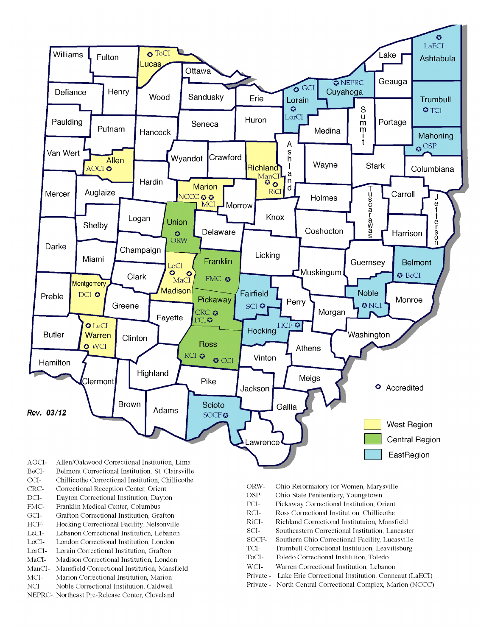

- BeCI-Belmont Correctional Institution, St. Clairsville
- $CCI-$ Chillicothe Correctional Institution, Chillicothe
- Correctional Reception Center, Orient CRC-
- $DCI-$ Dayton Correctional Institution, Dayton
- FMC-Franklin Medical Center, Columbus
- $\rm{GCI}\mbox{-}$ Grafton Correctional Institution, Grafton
- HCF-Hocking Correctional Facility, Nelsonville
- LeCI-Lebanon Correctional Institution, Lebanon
- LoCI-London Correctional Institution. London
- $\operatorname{LorCl-}$ Lorain Correctional Institution, Grafton
- $MaCI-$ Madison Correctional Institution, London
- ManCI-Mansfield Correctional Institution, Mansfield MCI-Marion Correctional Institution, Marion
- Noble Correctional Institution, Caldwell
- NCI-NEPRC- Northeast Pre-Release Center, Cleveland
- ORW-Ohio Reformatory for Women, Marysville
- OSP-Ohio State Penitentiary, Youngstown
- PCI-Pickaway Correctional Institution, Orient
- $\rm RCI-$ Ross Correctional Institution, Chillicothe
- RiCI-Richland Correctional Institutuion, Mansfield
- SCI-Southeastern Correctional Institution, Lancaster
- SOCF-Southern Ohio Correctional Facility, Lucasville
- TCI-Trumbull Correctional Institution, Leavittsburg
- ToCI-Toledo Correctional Institution, Toledo
- $WCI-$ Warren Correctional Institution, Lebanon
- Private Lake Erie Correctional Institution, Conneaut (LaECI)
- Private North Central Correctional Complex, Marion (NCCC)